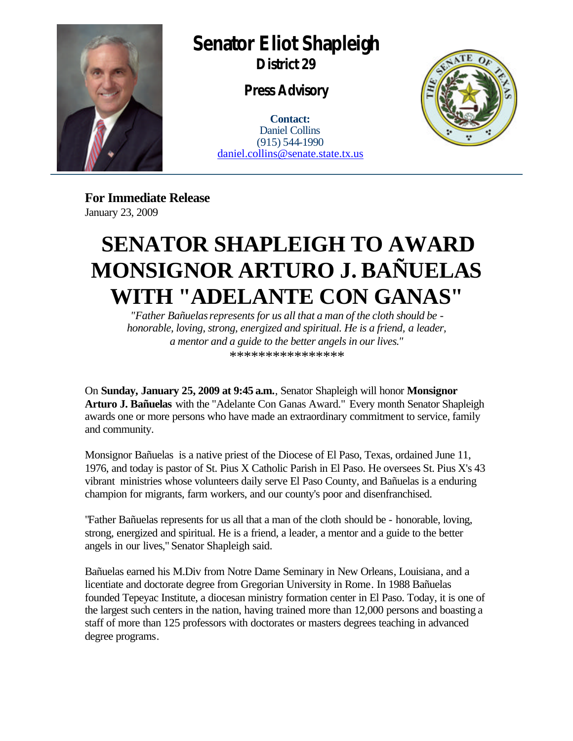

## **Senator Eliot Shapleigh**

**District 29**

**Press Advisory**

**Contact:** Daniel Collins (915) 544-1990 daniel.collins@senate.state.tx.us



**For Immediate Release** January 23, 2009

## **SENATOR SHAPLEIGH TO AWARD MONSIGNOR ARTURO J. BAÑUELAS WITH "ADELANTE CON GANAS"**

*"Father Bañuelas represents for us all that a man of the cloth should be honorable, loving, strong, energized and spiritual. He is a friend, a leader, a mentor and a guide to the better angels in our lives."* \*\*\*\*\*\*\*\*\*\*\*\*\*\*\*\*

On **Sunday, January 25, 2009 at 9:45 a.m.**, Senator Shapleigh will honor **Monsignor Arturo J. Bañuelas** with the "Adelante Con Ganas Award." Every month Senator Shapleigh awards one or more persons who have made an extraordinary commitment to service, family and community.

Monsignor Bañuelas is a native priest of the Diocese of El Paso, Texas, ordained June 11, 1976, and today is pastor of St. Pius X Catholic Parish in El Paso. He oversees St. Pius X's 43 vibrant ministries whose volunteers daily serve El Paso County, and Bañuelas is a enduring champion for migrants, farm workers, and our county's poor and disenfranchised.

"Father Bañuelas represents for us all that a man of the cloth should be - honorable, loving, strong, energized and spiritual. He is a friend, a leader, a mentor and a guide to the better angels in our lives," Senator Shapleigh said.

Bañuelas earned his M.Div from Notre Dame Seminary in New Orleans, Louisiana, and a licentiate and doctorate degree from Gregorian University in Rome. In 1988 Bañuelas founded Tepeyac Institute, a diocesan ministry formation center in El Paso. Today, it is one of the largest such centers in the nation, having trained more than 12,000 persons and boasting a staff of more than 125 professors with doctorates or masters degrees teaching in advanced degree programs.